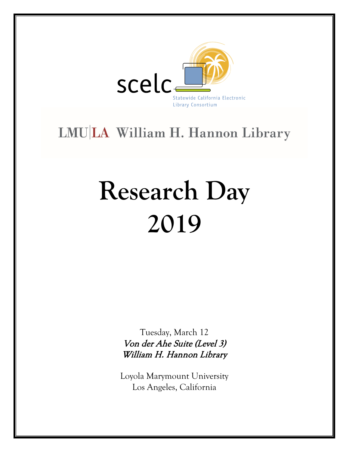

# LMU|LA William H. Hannon Library

# **Research Day 2019**

Tuesday, March 12 Von der Ahe Suite (Level 3) William H. Hannon Library

Loyola Marymount University Los Angeles, California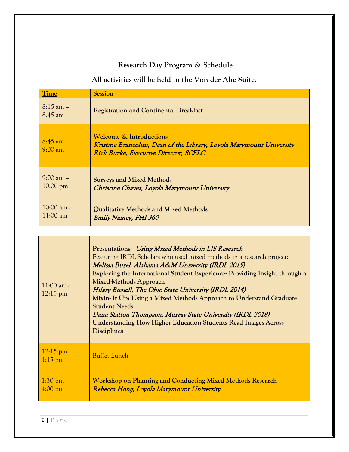# **Research Day Program & Schedule**

**All activities will be held in the Von der Ahe Suite.**

| Time                                       | <b>Session</b>                                                                                                                                              |
|--------------------------------------------|-------------------------------------------------------------------------------------------------------------------------------------------------------------|
| $8:15$ am $-$<br>8:45 am                   | <b>Registration and Continental Breakfast</b>                                                                                                               |
| $8:45$ am $-$<br>$9:00 \text{ am}$         | <b>Welcome &amp; Introductions</b><br>Kristine Brancolini, Dean of the Library, Loyola Marymount University<br><b>Rick Burke, Executive Director, SCELC</b> |
| $9:00 \text{ am } -$<br>$10:00 \text{ pm}$ | <b>Surveys and Mixed Methods</b><br>Christine Chavez, Loyola Marymount University                                                                           |
| $10:00$ am -<br>$11:00 \text{ am}$         | Qualitative Methods and Mixed Methods<br><b>Emily Namey, FHI 360</b>                                                                                        |

| $11:00$ am -<br>$12:15 \text{ pm}$        | Presentations: Using Mixed Methods in LIS Research<br>Featuring IRDL Scholars who used mixed methods in a research project:<br>Melissa Burel, Alabama A&M University (IRDL 2015)<br>Exploring the International Student Experience: Providing Insight through a<br>Mixed-Methods Approach<br>Hilary Bussell, The Ohio State University (IRDL 2014)<br>Mixin- It Up: Using a Mixed Methods Approach to Understand Graduate<br><b>Student Needs</b><br>Dana Statton Thompson, Murray State University (IRDL 2018)<br><b>Understanding How Higher Education Students Read Images Across</b><br><b>Disciplines</b> |
|-------------------------------------------|----------------------------------------------------------------------------------------------------------------------------------------------------------------------------------------------------------------------------------------------------------------------------------------------------------------------------------------------------------------------------------------------------------------------------------------------------------------------------------------------------------------------------------------------------------------------------------------------------------------|
| $12:15$ pm –<br>$1:15$ pm                 | <b>Buffet Lunch</b>                                                                                                                                                                                                                                                                                                                                                                                                                                                                                                                                                                                            |
| $1:30 \text{ pm } -$<br>$4:00 \text{ pm}$ | Workshop on Planning and Conducting Mixed Methods Research<br>Rebecca Hong, Loyola Marymount University                                                                                                                                                                                                                                                                                                                                                                                                                                                                                                        |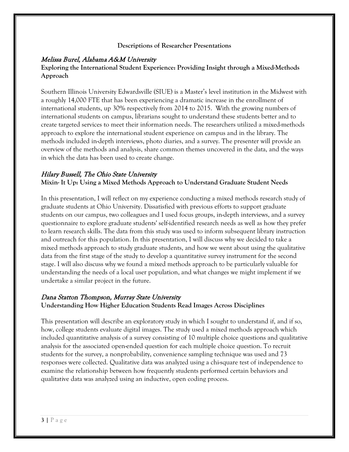#### **Descriptions of Researcher Presentations**

#### Melissa Burel, Alabama A&M University

#### **Exploring the International Student Experience: Providing Insight through a Mixed-Methods Approach**

Southern Illinois University Edwardsville (SIUE) is a Master's level institution in the Midwest with a roughly 14,000 FTE that has been experiencing a dramatic increase in the enrollment of international students, up 30% respectively from 2014 to 2015. With the growing numbers of international students on campus, librarians sought to understand these students better and to create targeted services to meet their information needs. The researchers utilized a mixed-methods approach to explore the international student experience on campus and in the library. The methods included in-depth interviews, photo diaries, and a survey. The presenter will provide an overview of the methods and analysis, share common themes uncovered in the data, and the ways in which the data has been used to create change.

#### Hilary Bussell, The Ohio State University

#### **Mixin- It Up: Using a Mixed Methods Approach to Understand Graduate Student Needs**

In this presentation, I will reflect on my experience conducting a mixed methods research study of graduate students at Ohio University. Dissatisfied with previous efforts to support graduate students on our campus, two colleagues and I used focus groups, in-depth interviews, and a survey questionnaire to explore graduate students' self-identified research needs as well as how they prefer to learn research skills. The data from this study was used to inform subsequent library instruction and outreach for this population. In this presentation, I will discuss why we decided to take a mixed methods approach to study graduate students, and how we went about using the qualitative data from the first stage of the study to develop a quantitative survey instrument for the second stage. I will also discuss why we found a mixed methods approach to be particularly valuable for understanding the needs of a local user population, and what changes we might implement if we undertake a similar project in the future.

### Dana Statton Thompson, Murray State University **Understanding How Higher Education Students Read Images Across Disciplines**

This presentation will describe an exploratory study in which I sought to understand if, and if so, how, college students evaluate digital images. The study used a mixed methods approach which included quantitative analysis of a survey consisting of 10 multiple choice questions and qualitative analysis for the associated open-ended question for each multiple choice question. To recruit students for the survey, a nonprobability, convenience sampling technique was used and 73 responses were collected. Qualitative data was analyzed using a chi-square test of independence to examine the relationship between how frequently students performed certain behaviors and qualitative data was analyzed using an inductive, open coding process.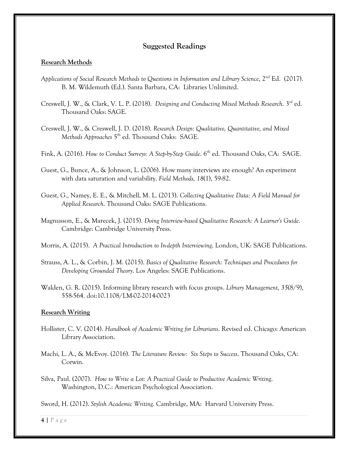#### **Suggested Readings**

#### **Research Methods**

- *Applications of Social Research Methods to Questions in Information and Library Science*, 2nd Ed. (2017). B. M. Wildemuth (Ed.). Santa Barbara, CA: Libraries Unlimited.
- Creswell, J. W., & Clark, V. L. P. (2018). *Designing and Conducting Mixed Methods Research*. 3rd ed. Thousand Oaks: SAGE.
- Creswell, J. W., & Creswell, J. D. (2018). *Research Design: Qualitative, Quantitative, and Mixed Methods Approaches* 5th ed. Thousand Oaks: SAGE.
- Fink, A. (2016). *How to Conduct Surveys: A Step-by-Step Guide*. 6<sup>th</sup> ed. Thousand Oaks, CA: SAGE.
- Guest, G., Bunce, A., & Johnson, L. (2006). How many interviews are enough? An experiment with data saturation and variability. *Field Methods, 18*(1), 59-82.
- Guest, G., Namey, E. E., & Mitchell, M. L. (2013). *Collecting Qualitative Data: A Field Manual for Applied Research*. Thousand Oaks: SAGE Publications.
- Magnusson, E., & Marecek, J. (2015). *Doing Interview-based Qualitative Research: A Learner's Guide*. Cambridge: Cambridge University Press.
- Morris, A. (2015). *A Practical Introduction to In-depth Interviewing*. London, UK: SAGE Publications.
- Strauss, A. L., & Corbin, J. M. (2015). *Basics of Qualitative Research: Techniques and Procedures for Developing Grounded Theory*. Los Angeles: SAGE Publications.
- Walden, G. R. (2015). Informing library research with focus groups. *Library Management, 35*(8/9), 558-564. doi:10.1108/LM-02-2014-0023

#### **Research Writing**

- Hollister, C. V. (2014). *Handbook of Academic Writing for Librarians*. Revised ed. Chicago: American Library Association.
- Machi, L. A., & McEvoy. (2016). *The Literature Review: Six Steps to Success*. Thousand Oaks, CA: Corwin.
- Silva, Paul. (2007). *How to Write a Lot: A Practical Guide to Productive Academic Writing*. Washington, D.C.: American Psychological Association.

Sword, H. (2012). *Stylish Academic Writing*. Cambridge, MA: Harvard University Press.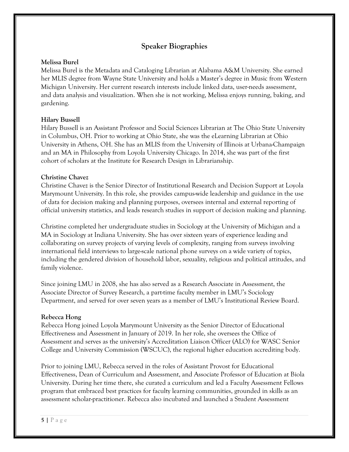## **Speaker Biographies**

#### **Melissa Burel**

Melissa Burel is the Metadata and Cataloging Librarian at Alabama A&M University. She earned her MLIS degree from Wayne State University and holds a Master's degree in Music from Western Michigan University. Her current research interests include linked data, user-needs assessment, and data analysis and visualization. When she is not working, Melissa enjoys running, baking, and gardening.

#### **Hilary Bussell**

Hilary Bussell is an Assistant Professor and Social Sciences Librarian at The Ohio State University in Columbus, OH. Prior to working at Ohio State, she was the eLearning Librarian at Ohio University in Athens, OH. She has an MLIS from the University of Illinois at Urbana-Champaign and an MA in Philosophy from Loyola University Chicago. In 2014, she was part of the first cohort of scholars at the Institute for Research Design in Librarianship.

#### **Christine Chavez**

Christine Chavez is the Senior Director of Institutional Research and Decision Support at Loyola Marymount University. In this role, she provides campus-wide leadership and guidance in the use of data for decision making and planning purposes, oversees internal and external reporting of official university statistics, and leads research studies in support of decision making and planning.

Christine completed her undergraduate studies in Sociology at the University of Michigan and a MA in Sociology at Indiana University. She has over sixteen years of experience leading and collaborating on survey projects of varying levels of complexity, ranging from surveys involving international field interviews to large-scale national phone surveys on a wide variety of topics, including the gendered division of household labor, sexuality, religious and political attitudes, and family violence.

Since joining LMU in 2008, she has also served as a Research Associate in Assessment, the Associate Director of Survey Research, a part-time faculty member in LMU's Sociology Department, and served for over seven years as a member of LMU's Institutional Review Board.

#### **Rebecca Hong**

Rebecca Hong joined Loyola Marymount University as the Senior Director of Educational Effectiveness and Assessment in January of 2019. In her role, she oversees the Office of Assessment and serves as the university's Accreditation Liaison Officer (ALO) for WASC Senior College and University Commission (WSCUC), the regional higher education accrediting body.

Prior to joining LMU, Rebecca served in the roles of Assistant Provost for Educational Effectiveness, Dean of Curriculum and Assessment, and Associate Professor of Education at Biola University. During her time there, she curated a curriculum and led a Faculty Assessment Fellows program that embraced best practices for faculty learning communities, grounded in skills as an assessment scholar-practitioner. Rebecca also incubated and launched a Student Assessment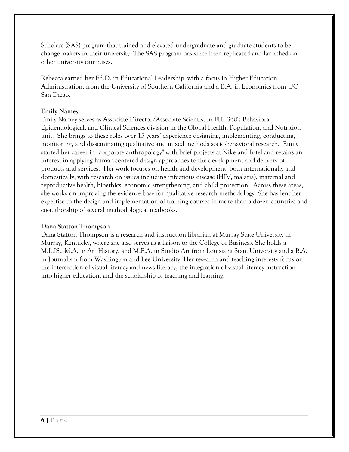Scholars (SAS) program that trained and elevated undergraduate and graduate students to be change-makers in their university. The SAS program has since been replicated and launched on other university campuses.

Rebecca earned her Ed.D. in Educational Leadership, with a focus in Higher Education Administration, from the University of Southern California and a B.A. in Economics from UC San Diego.

#### **Emily Namey**

Emily Namey serves as Associate Director/Associate Scientist in FHI 360's Behavioral, Epidemiological, and Clinical Sciences division in the Global Health, Population, and Nutrition unit. She brings to these roles over 15 years' experience designing, implementing, conducting, monitoring, and disseminating qualitative and mixed methods socio-behavioral research. Emily started her career in "corporate anthropology" with brief projects at Nike and Intel and retains an interest in applying human-centered design approaches to the development and delivery of products and services. Her work focuses on health and development, both internationally and domestically, with research on issues including infectious disease (HIV, malaria), maternal and reproductive health, bioethics, economic strengthening, and child protection. Across these areas, she works on improving the evidence base for qualitative research methodology. She has lent her expertise to the design and implementation of training courses in more than a dozen countries and co-authorship of several methodological textbooks.

#### **Dana Statton Thompson**

Dana Statton Thompson is a research and instruction librarian at Murray State University in Murray, Kentucky, where she also serves as a liaison to the College of Business. She holds a M.L.IS., M.A. in Art History, and M.F.A. in Studio Art from Louisiana State University and a B.A. in Journalism from Washington and Lee University. Her research and teaching interests focus on the intersection of visual literacy and news literacy, the integration of visual literacy instruction into higher education, and the scholarship of teaching and learning.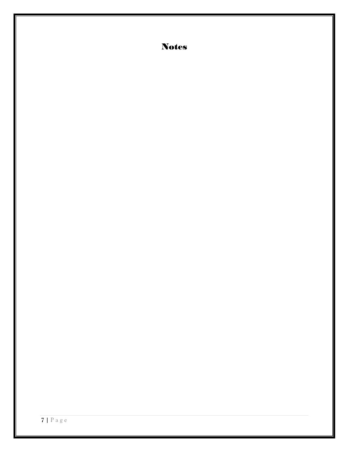Notes